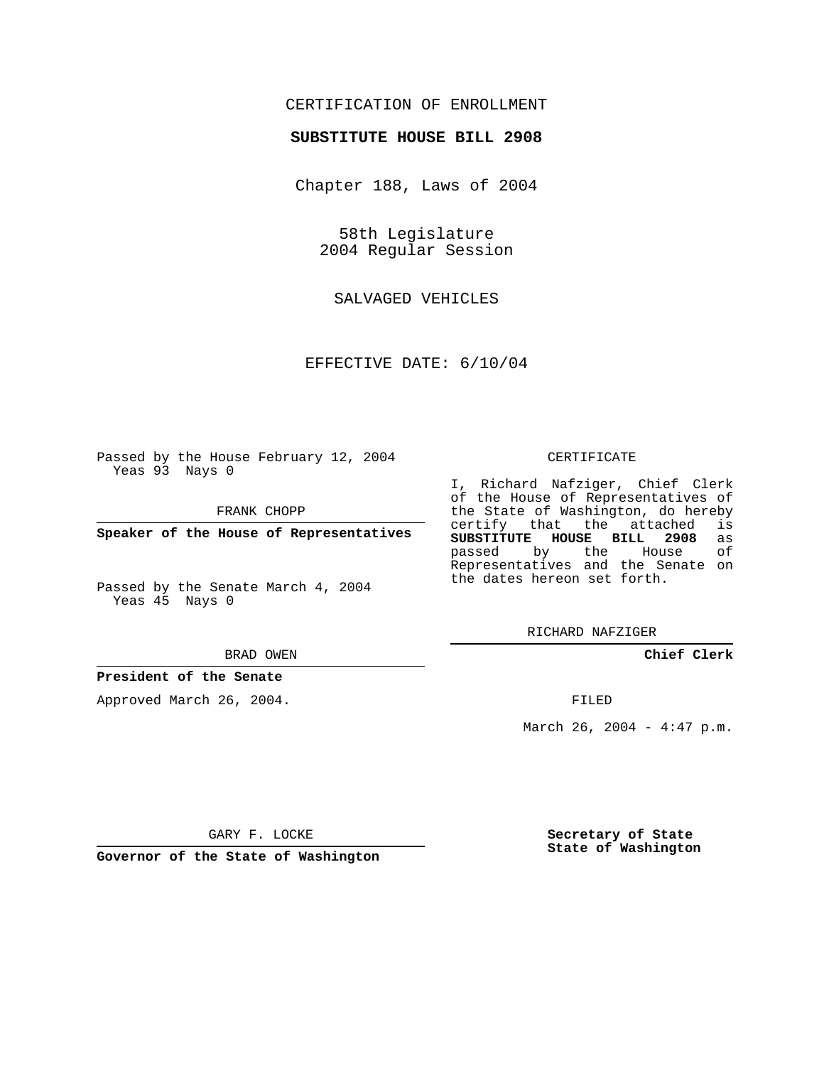## CERTIFICATION OF ENROLLMENT

#### **SUBSTITUTE HOUSE BILL 2908**

Chapter 188, Laws of 2004

58th Legislature 2004 Regular Session

SALVAGED VEHICLES

EFFECTIVE DATE: 6/10/04

Passed by the House February 12, 2004 Yeas 93 Nays 0

FRANK CHOPP

**Speaker of the House of Representatives**

Passed by the Senate March 4, 2004 Yeas 45 Nays 0

#### BRAD OWEN

#### **President of the Senate**

Approved March 26, 2004.

#### CERTIFICATE

I, Richard Nafziger, Chief Clerk of the House of Representatives of the State of Washington, do hereby<br>certify that the attached is certify that the attached **SUBSTITUTE HOUSE BILL 2908** as passed by the House Representatives and the Senate on the dates hereon set forth.

RICHARD NAFZIGER

**Chief Clerk**

FILED

March 26, 2004 -  $4:47$  p.m.

GARY F. LOCKE

**Governor of the State of Washington**

**Secretary of State State of Washington**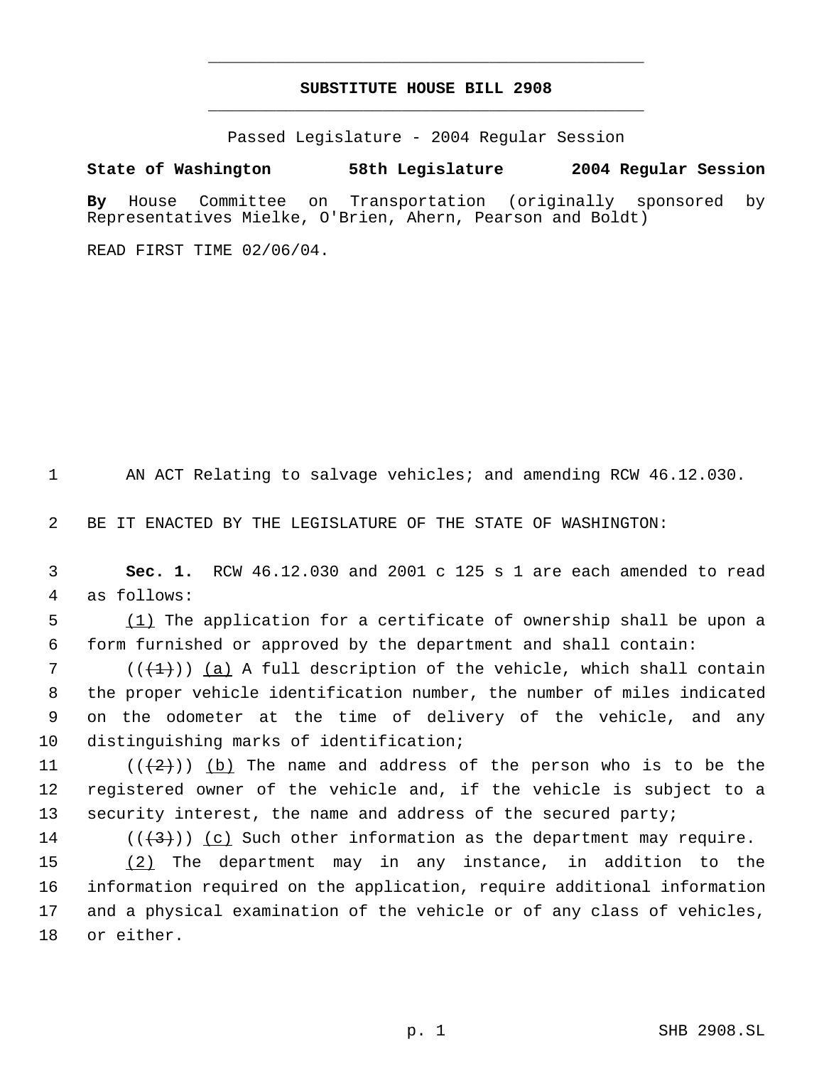# **SUBSTITUTE HOUSE BILL 2908** \_\_\_\_\_\_\_\_\_\_\_\_\_\_\_\_\_\_\_\_\_\_\_\_\_\_\_\_\_\_\_\_\_\_\_\_\_\_\_\_\_\_\_\_\_

\_\_\_\_\_\_\_\_\_\_\_\_\_\_\_\_\_\_\_\_\_\_\_\_\_\_\_\_\_\_\_\_\_\_\_\_\_\_\_\_\_\_\_\_\_

Passed Legislature - 2004 Regular Session

### **State of Washington 58th Legislature 2004 Regular Session**

**By** House Committee on Transportation (originally sponsored by Representatives Mielke, O'Brien, Ahern, Pearson and Boldt)

READ FIRST TIME 02/06/04.

1 AN ACT Relating to salvage vehicles; and amending RCW 46.12.030.

2 BE IT ENACTED BY THE LEGISLATURE OF THE STATE OF WASHINGTON:

 3 **Sec. 1.** RCW 46.12.030 and 2001 c 125 s 1 are each amended to read 4 as follows:

5 (1) The application for a certificate of ownership shall be upon a 6 form furnished or approved by the department and shall contain:

7 ( $(\{+1\})$  <u>(a)</u> A full description of the vehicle, which shall contain the proper vehicle identification number, the number of miles indicated on the odometer at the time of delivery of the vehicle, and any distinguishing marks of identification;

11  $((+2))$   $(b)$  The name and address of the person who is to be the 12 registered owner of the vehicle and, if the vehicle is subject to a 13 security interest, the name and address of the secured party;

14 ( $(\langle 3 \rangle)$ ) (c) Such other information as the department may require.

15 (2) The department may in any instance, in addition to the information required on the application, require additional information and a physical examination of the vehicle or of any class of vehicles, or either.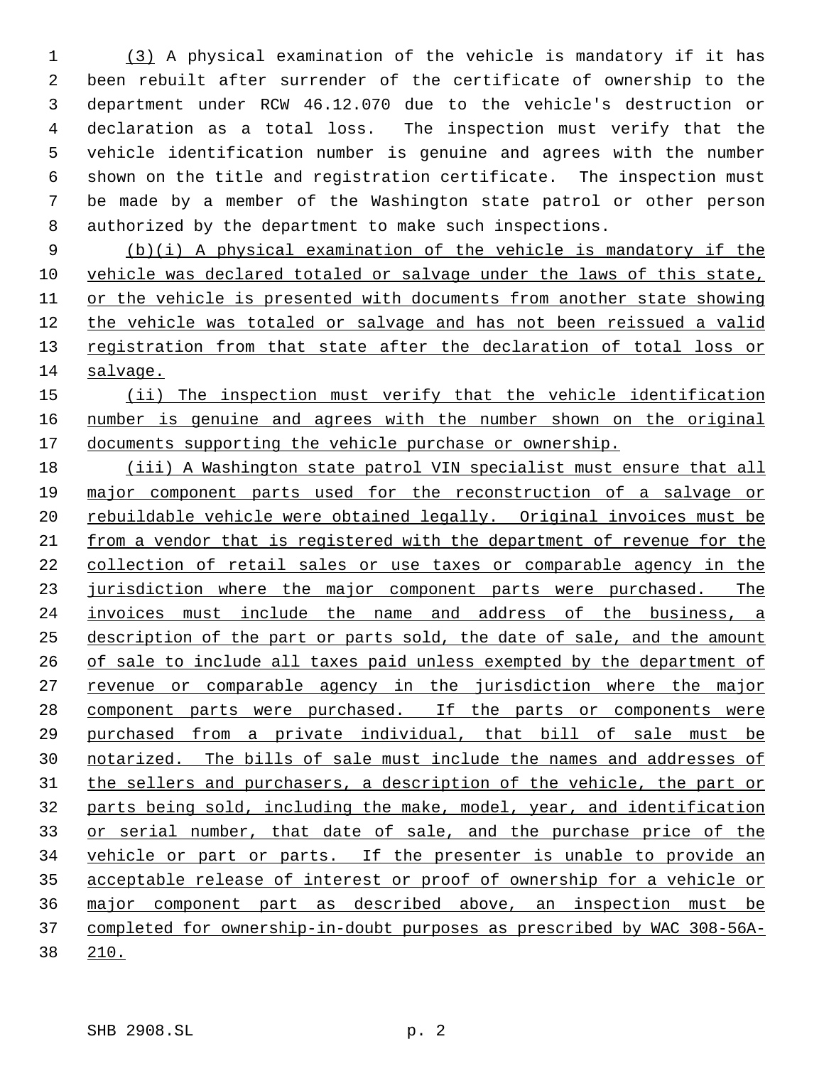(3) A physical examination of the vehicle is mandatory if it has been rebuilt after surrender of the certificate of ownership to the department under RCW 46.12.070 due to the vehicle's destruction or declaration as a total loss. The inspection must verify that the vehicle identification number is genuine and agrees with the number shown on the title and registration certificate. The inspection must be made by a member of the Washington state patrol or other person authorized by the department to make such inspections.

 (b)(i) A physical examination of the vehicle is mandatory if the vehicle was declared totaled or salvage under the laws of this state, or the vehicle is presented with documents from another state showing the vehicle was totaled or salvage and has not been reissued a valid 13 registration from that state after the declaration of total loss or salvage.

15 (ii) The inspection must verify that the vehicle identification number is genuine and agrees with the number shown on the original 17 documents supporting the vehicle purchase or ownership.

 (iii) A Washington state patrol VIN specialist must ensure that all major component parts used for the reconstruction of a salvage or 20 rebuildable vehicle were obtained legally. Original invoices must be from a vendor that is registered with the department of revenue for the collection of retail sales or use taxes or comparable agency in the 23 jurisdiction where the major component parts were purchased. The invoices must include the name and address of the business, a description of the part or parts sold, the date of sale, and the amount of sale to include all taxes paid unless exempted by the department of 27 revenue or comparable agency in the jurisdiction where the major component parts were purchased. If the parts or components were purchased from a private individual, that bill of sale must be notarized. The bills of sale must include the names and addresses of 31 the sellers and purchasers, a description of the vehicle, the part or parts being sold, including the make, model, year, and identification 33 or serial number, that date of sale, and the purchase price of the vehicle or part or parts. If the presenter is unable to provide an acceptable release of interest or proof of ownership for a vehicle or major component part as described above, an inspection must be completed for ownership-in-doubt purposes as prescribed by WAC 308-56A-210.